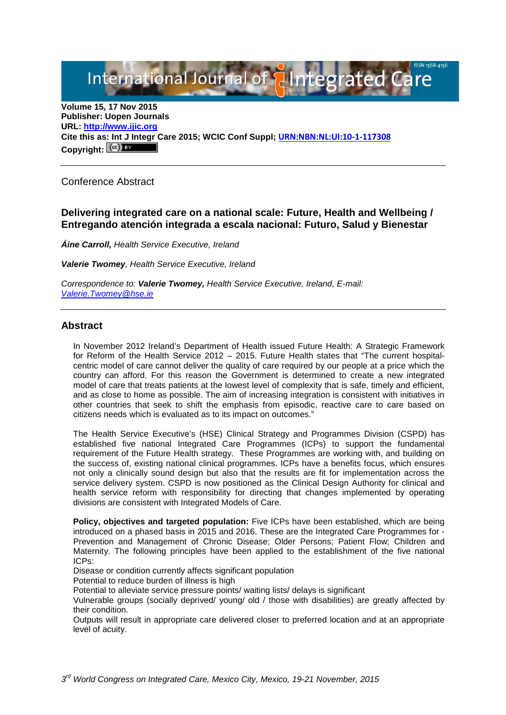International Journal of **Alntegrated Care** 

**Volume 15, 17 Nov 2015 Publisher: Uopen Journals URL: [http://www.ijic.org](http://www.ijic.org/) Cite this as: Int J Integr Care 2015; WCIC Conf Suppl; [URN:NBN:NL:UI:10-1-117308](http://persistent-identifier.nl/?identifier=URN:NBN:NL:UI:10-1-117308)** Copyright:  $(cc)$ 

Conference Abstract

## **Delivering integrated care on a national scale: Future, Health and Wellbeing / Entregando atención integrada a escala nacional: Futuro, Salud y Bienestar**

*Áine Carroll, Health Service Executive, Ireland*

*Valerie Twomey, Health Service Executive, Ireland*

*Correspondence to: Valerie Twomey, Health Service Executive, Ireland, E-mail: [Valerie.Twomey@hse.ie](mailto:Valerie.Twomey@hse.ie)*

#### **Abstract**

In November 2012 Ireland's Department of Health issued Future Health: A Strategic Framework for Reform of the Health Service 2012 – 2015. Future Health states that "The current hospitalcentric model of care cannot deliver the quality of care required by our people at a price which the country can afford. For this reason the Government is determined to create a new integrated model of care that treats patients at the lowest level of complexity that is safe, timely and efficient, and as close to home as possible. The aim of increasing integration is consistent with initiatives in other countries that seek to shift the emphasis from episodic, reactive care to care based on citizens needs which is evaluated as to its impact on outcomes."

The Health Service Executive's (HSE) Clinical Strategy and Programmes Division (CSPD) has established five national Integrated Care Programmes (ICPs) to support the fundamental requirement of the Future Health strategy. These Programmes are working with, and building on the success of, existing national clinical programmes. ICPs have a benefits focus, which ensures not only a clinically sound design but also that the results are fit for implementation across the service delivery system. CSPD is now positioned as the Clinical Design Authority for clinical and health service reform with responsibility for directing that changes implemented by operating divisions are consistent with Integrated Models of Care.

**Policy, objectives and targeted population:** Five ICPs have been established, which are being introduced on a phased basis in 2015 and 2016. These are the Integrated Care Programmes for - Prevention and Management of Chronic Disease; Older Persons; Patient Flow; Children and Maternity. The following principles have been applied to the establishment of the five national ICPs:

Disease or condition currently affects significant population

Potential to reduce burden of illness is high

Potential to alleviate service pressure points/ waiting lists/ delays is significant

Vulnerable groups (socially deprived/ young/ old / those with disabilities) are greatly affected by their condition.

Outputs will result in appropriate care delivered closer to preferred location and at an appropriate level of acuity.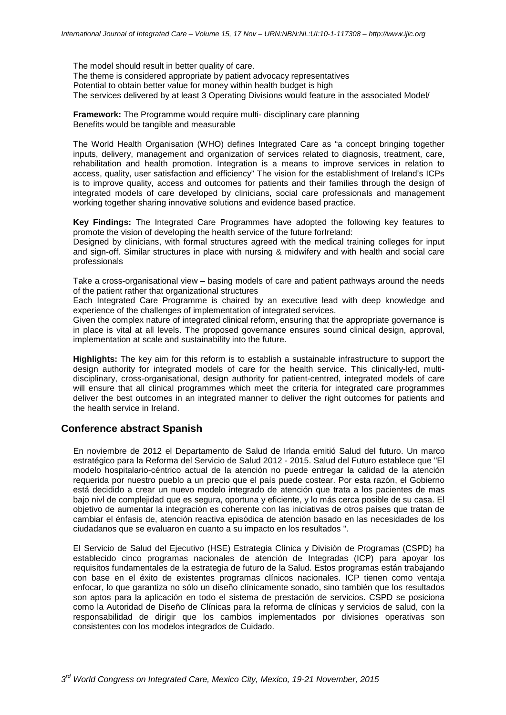The model should result in better quality of care. The theme is considered appropriate by patient advocacy representatives Potential to obtain better value for money within health budget is high The services delivered by at least 3 Operating Divisions would feature in the associated Model/

**Framework:** The Programme would require multi- disciplinary care planning Benefits would be tangible and measurable

The World Health Organisation (WHO) defines Integrated Care as "a concept bringing together inputs, delivery, management and organization of services related to diagnosis, treatment, care, rehabilitation and health promotion. Integration is a means to improve services in relation to access, quality, user satisfaction and efficiency" The vision for the establishment of Ireland's ICPs is to improve quality, access and outcomes for patients and their families through the design of integrated models of care developed by clinicians, social care professionals and management working together sharing innovative solutions and evidence based practice.

**Key Findings:** The Integrated Care Programmes have adopted the following key features to promote the vision of developing the health service of the future forIreland:

Designed by clinicians, with formal structures agreed with the medical training colleges for input and sign-off. Similar structures in place with nursing & midwifery and with health and social care professionals

Take a cross-organisational view – basing models of care and patient pathways around the needs of the patient rather that organizational structures

Each Integrated Care Programme is chaired by an executive lead with deep knowledge and experience of the challenges of implementation of integrated services.

Given the complex nature of integrated clinical reform, ensuring that the appropriate governance is in place is vital at all levels. The proposed governance ensures sound clinical design, approval, implementation at scale and sustainability into the future.

**Highlights:** The key aim for this reform is to establish a sustainable infrastructure to support the design authority for integrated models of care for the health service. This clinically-led, multidisciplinary, cross-organisational, design authority for patient-centred, integrated models of care will ensure that all clinical programmes which meet the criteria for integrated care programmes deliver the best outcomes in an integrated manner to deliver the right outcomes for patients and the health service in Ireland.

### **Conference abstract Spanish**

En noviembre de 2012 el Departamento de Salud de Irlanda emitió Salud del futuro. Un marco estratégico para la Reforma del Servicio de Salud 2012 - 2015. Salud del Futuro establece que "El modelo hospitalario-céntrico actual de la atención no puede entregar la calidad de la atención requerida por nuestro pueblo a un precio que el país puede costear. Por esta razón, el Gobierno está decidido a crear un nuevo modelo integrado de atención que trata a los pacientes de mas bajo nivl de complejidad que es segura, oportuna y eficiente, y lo más cerca posible de su casa. El objetivo de aumentar la integración es coherente con las iniciativas de otros países que tratan de cambiar el énfasis de, atención reactiva episódica de atención basado en las necesidades de los ciudadanos que se evaluaron en cuanto a su impacto en los resultados ".

El Servicio de Salud del Ejecutivo (HSE) Estrategia Clínica y División de Programas (CSPD) ha establecido cinco programas nacionales de atención de Integradas (ICP) para apoyar los requisitos fundamentales de la estrategia de futuro de la Salud. Estos programas están trabajando con base en el éxito de existentes programas clínicos nacionales. ICP tienen como ventaja enfocar, lo que garantiza no sólo un diseño clínicamente sonado, sino también que los resultados son aptos para la aplicación en todo el sistema de prestación de servicios. CSPD se posiciona como la Autoridad de Diseño de Clínicas para la reforma de clínicas y servicios de salud, con la responsabilidad de dirigir que los cambios implementados por divisiones operativas son consistentes con los modelos integrados de Cuidado.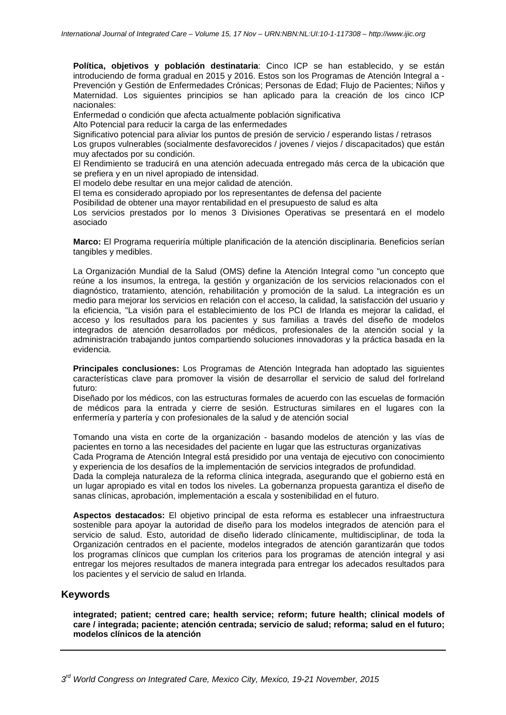**Política, objetivos y población destinataria**: Cinco ICP se han establecido, y se están introduciendo de forma gradual en 2015 y 2016. Estos son los Programas de Atención Integral a - Prevención y Gestión de Enfermedades Crónicas; Personas de Edad; Flujo de Pacientes; Niños y Maternidad. Los siguientes principios se han aplicado para la creación de los cinco ICP nacionales:

Enfermedad o condición que afecta actualmente población significativa

Alto Potencial para reducir la carga de las enfermedades

Significativo potencial para aliviar los puntos de presión de servicio / esperando listas / retrasos Los grupos vulnerables (socialmente desfavorecidos / jovenes / viejos / discapacitados) que están muy afectados por su condición.

El Rendimiento se traducirá en una atención adecuada entregado más cerca de la ubicación que se prefiera y en un nivel apropiado de intensidad.

El modelo debe resultar en una mejor calidad de atención.

El tema es considerado apropiado por los representantes de defensa del paciente

Posibilidad de obtener una mayor rentabilidad en el presupuesto de salud es alta

Los servicios prestados por lo menos 3 Divisiones Operativas se presentará en el modelo asociado

**Marco:** El Programa requeriría múltiple planificación de la atención disciplinaria. Beneficios serían tangibles y medibles.

La Organización Mundial de la Salud (OMS) define la Atención Integral como "un concepto que reúne a los insumos, la entrega, la gestión y organización de los servicios relacionados con el diagnóstico, tratamiento, atención, rehabilitación y promoción de la salud. La integración es un medio para mejorar los servicios en relación con el acceso, la calidad, la satisfacción del usuario y la eficiencia, "La visión para el establecimiento de los PCI de Irlanda es mejorar la calidad, el acceso y los resultados para los pacientes y sus familias a través del diseño de modelos integrados de atención desarrollados por médicos, profesionales de la atención social y la administración trabajando juntos compartiendo soluciones innovadoras y la práctica basada en la evidencia.

**Principales conclusiones:** Los Programas de Atención Integrada han adoptado las siguientes características clave para promover la visión de desarrollar el servicio de salud del forIreland futuro:

Diseñado por los médicos, con las estructuras formales de acuerdo con las escuelas de formación de médicos para la entrada y cierre de sesión. Estructuras similares en el lugares con la enfermería y partería y con profesionales de la salud y de atención social

Tomando una vista en corte de la organización - basando modelos de atención y las vías de pacientes en torno a las necesidades del paciente en lugar que las estructuras organizativas

Cada Programa de Atención Integral está presidido por una ventaja de ejecutivo con conocimiento y experiencia de los desafíos de la implementación de servicios integrados de profundidad.

Dada la compleja naturaleza de la reforma clínica integrada, asegurando que el gobierno está en un lugar apropiado es vital en todos los niveles. La gobernanza propuesta garantiza el diseño de sanas clínicas, aprobación, implementación a escala y sostenibilidad en el futuro.

**Aspectos destacados:** El objetivo principal de esta reforma es establecer una infraestructura sostenible para apoyar la autoridad de diseño para los modelos integrados de atención para el servicio de salud. Esto, autoridad de diseño liderado clínicamente, multidisciplinar, de toda la Organización centrados en el paciente, modelos integrados de atención garantizarán que todos los programas clínicos que cumplan los criterios para los programas de atención integral y asi entregar los mejores resultados de manera integrada para entregar los adecados resultados para los pacientes y el servicio de salud en Irlanda.

#### **Keywords**

**integrated; patient; centred care; health service; reform; future health; clinical models of care / integrada; paciente; atención centrada; servicio de salud; reforma; salud en el futuro; modelos clínicos de la atención**